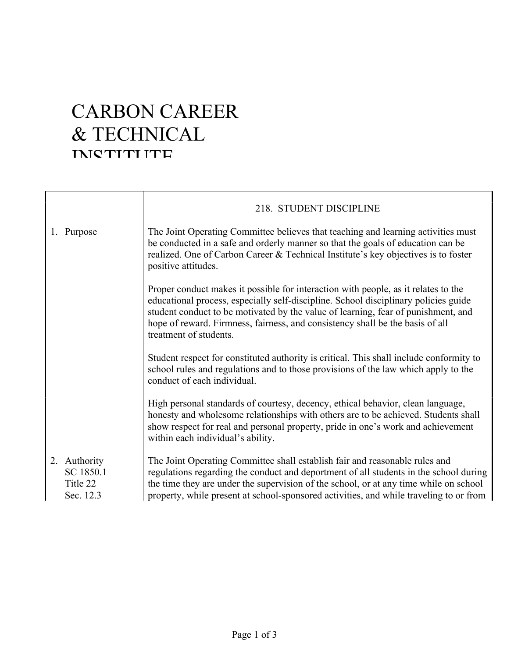## CARBON CAREER & TECHNICAL INICTITI ITE

|                                                    | 218. STUDENT DISCIPLINE                                                                                                                                                                                                                                                                                                                                                   |
|----------------------------------------------------|---------------------------------------------------------------------------------------------------------------------------------------------------------------------------------------------------------------------------------------------------------------------------------------------------------------------------------------------------------------------------|
| 1. Purpose                                         | The Joint Operating Committee believes that teaching and learning activities must<br>be conducted in a safe and orderly manner so that the goals of education can be<br>realized. One of Carbon Career & Technical Institute's key objectives is to foster<br>positive attitudes.                                                                                         |
|                                                    | Proper conduct makes it possible for interaction with people, as it relates to the<br>educational process, especially self-discipline. School disciplinary policies guide<br>student conduct to be motivated by the value of learning, fear of punishment, and<br>hope of reward. Firmness, fairness, and consistency shall be the basis of all<br>treatment of students. |
|                                                    | Student respect for constituted authority is critical. This shall include conformity to<br>school rules and regulations and to those provisions of the law which apply to the<br>conduct of each individual.                                                                                                                                                              |
|                                                    | High personal standards of courtesy, decency, ethical behavior, clean language,<br>honesty and wholesome relationships with others are to be achieved. Students shall<br>show respect for real and personal property, pride in one's work and achievement<br>within each individual's ability.                                                                            |
| 2. Authority<br>SC 1850.1<br>Title 22<br>Sec. 12.3 | The Joint Operating Committee shall establish fair and reasonable rules and<br>regulations regarding the conduct and deportment of all students in the school during<br>the time they are under the supervision of the school, or at any time while on school<br>property, while present at school-sponsored activities, and while traveling to or from                   |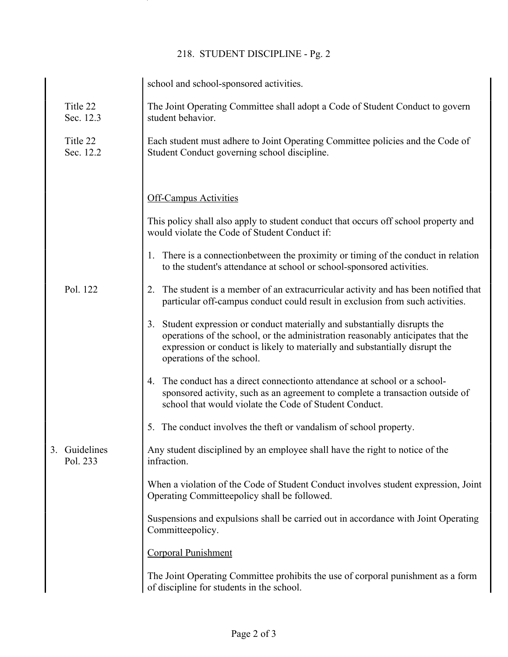## 218. STUDENT DISCIPLINE - Pg. 2

|    |                        | school and school-sponsored activities.                                                                                                                                                                                                                                   |
|----|------------------------|---------------------------------------------------------------------------------------------------------------------------------------------------------------------------------------------------------------------------------------------------------------------------|
|    | Title 22<br>Sec. 12.3  | The Joint Operating Committee shall adopt a Code of Student Conduct to govern<br>student behavior.                                                                                                                                                                        |
|    | Title 22<br>Sec. 12.2  | Each student must adhere to Joint Operating Committee policies and the Code of<br>Student Conduct governing school discipline.                                                                                                                                            |
|    |                        | <b>Off-Campus Activities</b><br>This policy shall also apply to student conduct that occurs off school property and                                                                                                                                                       |
|    |                        | would violate the Code of Student Conduct if:                                                                                                                                                                                                                             |
|    |                        | 1. There is a connection between the proximity or timing of the conduct in relation<br>to the student's attendance at school or school-sponsored activities.                                                                                                              |
|    | Pol. 122               | The student is a member of an extracurricular activity and has been notified that<br>particular off-campus conduct could result in exclusion from such activities.                                                                                                        |
|    |                        | 3. Student expression or conduct materially and substantially disrupts the<br>operations of the school, or the administration reasonably anticipates that the<br>expression or conduct is likely to materially and substantially disrupt the<br>operations of the school. |
|    |                        | The conduct has a direct connection to attendance at school or a school-<br>4.<br>sponsored activity, such as an agreement to complete a transaction outside of<br>school that would violate the Code of Student Conduct.                                                 |
|    |                        | 5. The conduct involves the theft or vandalism of school property.                                                                                                                                                                                                        |
| 3. | Guidelines<br>Pol. 233 | Any student disciplined by an employee shall have the right to notice of the<br>infraction.                                                                                                                                                                               |
|    |                        | When a violation of the Code of Student Conduct involves student expression, Joint<br>Operating Committeepolicy shall be followed.                                                                                                                                        |
|    |                        | Suspensions and expulsions shall be carried out in accordance with Joint Operating<br>Committeepolicy.                                                                                                                                                                    |
|    |                        | <b>Corporal Punishment</b>                                                                                                                                                                                                                                                |
|    |                        | The Joint Operating Committee prohibits the use of corporal punishment as a form<br>of discipline for students in the school.                                                                                                                                             |